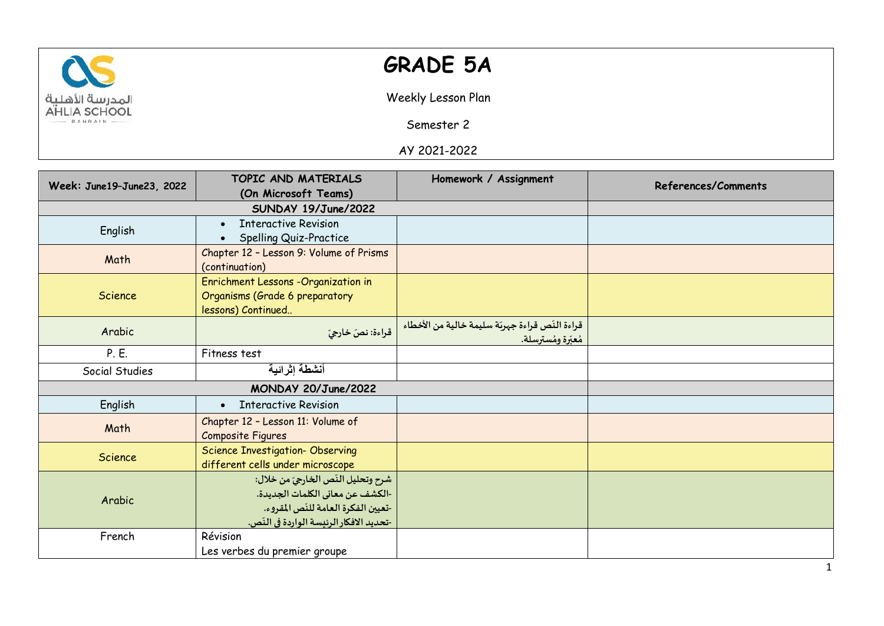

## **GRADE 5A**

Weekly Lesson Plan

Semester 2

AY 2021-2022

| Week: June19-June23, 2022 | TOPIC AND MATERIALS                      | Homework / Assignment                           | References/Comments |
|---------------------------|------------------------------------------|-------------------------------------------------|---------------------|
|                           | (On Microsoft Teams)                     |                                                 |                     |
|                           | SUNDAY 19/June/2022                      |                                                 |                     |
| English                   | <b>Interactive Revision</b><br>$\bullet$ |                                                 |                     |
|                           | Spelling Quiz-Practice                   |                                                 |                     |
| Math                      | Chapter 12 - Lesson 9: Volume of Prisms  |                                                 |                     |
|                           | (continuation)                           |                                                 |                     |
|                           | Enrichment Lessons -Organization in      |                                                 |                     |
| Science                   | Organisms (Grade 6 preparatory           |                                                 |                     |
|                           | lessons) Continued                       |                                                 |                     |
| Arabic                    | قراءة: نصّ خارجيّ                        | قراءة النّص قراءة جهربّة سليمة خالية من الأخطاء |                     |
|                           |                                          | مُعبِّرة ومُسترسلة.                             |                     |
| P. E.                     | Fitness test                             |                                                 |                     |
| Social Studies            | أنشطة إثرائية                            |                                                 |                     |
| MONDAY 20/June/2022       |                                          |                                                 |                     |
| English                   | <b>Interactive Revision</b>              |                                                 |                     |
| Math                      | Chapter 12 - Lesson 11: Volume of        |                                                 |                     |
|                           | Composite Figures                        |                                                 |                     |
| <b>Science</b>            | <b>Science Investigation- Observing</b>  |                                                 |                     |
|                           | different cells under microscope         |                                                 |                     |
| Arabic                    | شرح وتحليل النّص الخارجيّ من خلال:       |                                                 |                     |
|                           | -الكشف عن معاني الكلمات الجديدة.         |                                                 |                     |
|                           | -تعيين الفكرة العامة للنّص المقروء.      |                                                 |                     |
|                           | -تحديد الافكار الرئيسة الواردة في النّص. |                                                 |                     |
| French                    | Révision                                 |                                                 |                     |
|                           | Les verbes du premier groupe             |                                                 |                     |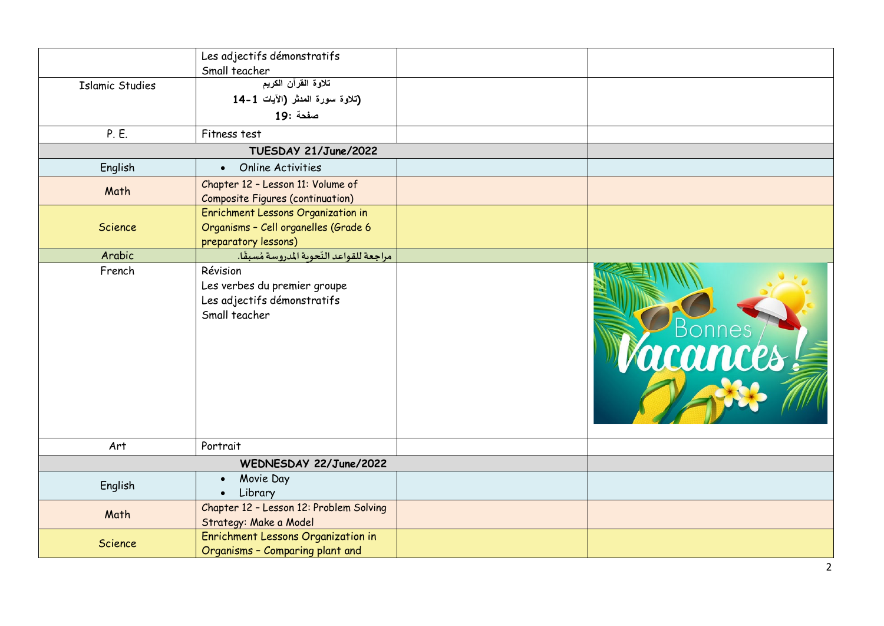|                        | Les adjectifs démonstratifs                                                              |        |
|------------------------|------------------------------------------------------------------------------------------|--------|
|                        | Small teacher<br>تلاوة القرآن الكريم                                                     |        |
| <b>Islamic Studies</b> | (تلاوة سورة المدثر (الآيات 1-14                                                          |        |
|                        |                                                                                          |        |
|                        | صفحة :19                                                                                 |        |
| P. E.                  | Fitness test                                                                             |        |
|                        | TUESDAY 21/June/2022                                                                     |        |
| English                | <b>Online Activities</b><br>$\bullet$                                                    |        |
|                        | Chapter 12 - Lesson 11: Volume of                                                        |        |
| Math                   | <b>Composite Figures (continuation)</b>                                                  |        |
|                        | Enrichment Lessons Organization in                                                       |        |
| Science                | Organisms - Cell organelles (Grade 6                                                     |        |
|                        | preparatory lessons)                                                                     |        |
| Arabic                 | مراجعة للقواعد النّحوية المدروسة مُسبقًا.                                                |        |
| French                 | Révision<br>Les verbes du premier groupe<br>Les adjectifs démonstratifs<br>Small teacher | Bonnes |
| Art                    | Portrait                                                                                 |        |
|                        | WEDNESDAY 22/June/2022                                                                   |        |
| English                | Movie Day<br>$\bullet$                                                                   |        |
|                        | Library<br>$\bullet$                                                                     |        |
| Math                   | Chapter 12 - Lesson 12: Problem Solving                                                  |        |
|                        | Strategy: Make a Model                                                                   |        |
| Science                | Enrichment Lessons Organization in<br>Organisms - Comparing plant and                    |        |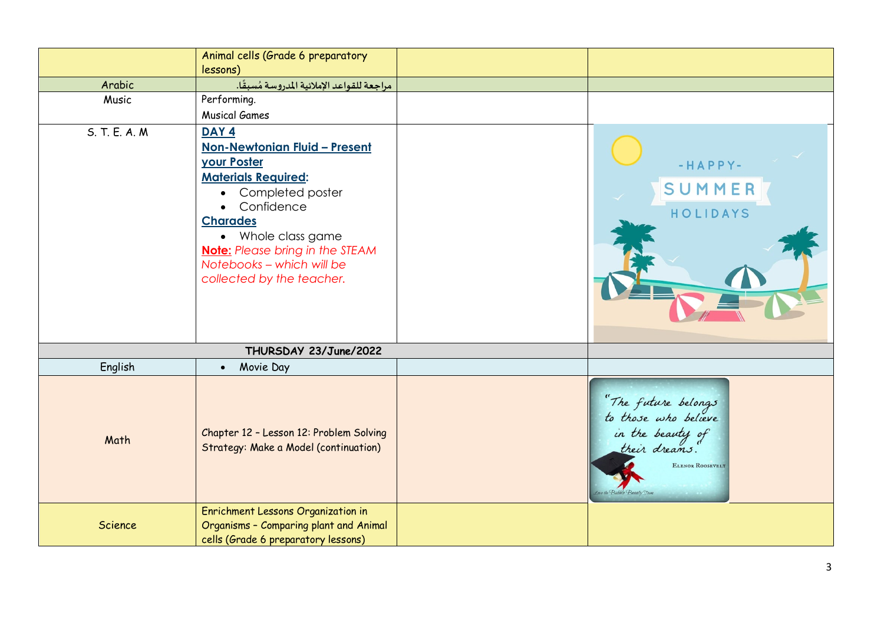|                | Animal cells (Grade 6 preparatory<br>lessons)                                                                                                                                                                                                                                                                                     |                                                                                                      |
|----------------|-----------------------------------------------------------------------------------------------------------------------------------------------------------------------------------------------------------------------------------------------------------------------------------------------------------------------------------|------------------------------------------------------------------------------------------------------|
| Arabic         | مراجعة للقواعد الإملائية المدروسة مُسبقًا.                                                                                                                                                                                                                                                                                        |                                                                                                      |
| Music          | Performing.                                                                                                                                                                                                                                                                                                                       |                                                                                                      |
|                | <b>Musical Games</b>                                                                                                                                                                                                                                                                                                              |                                                                                                      |
| S. T. E. A. M. | DAY <sub>4</sub><br><u> Non-Newtonian Fluid - Present</u><br><b>your Poster</b><br><b>Materials Required:</b><br>Completed poster<br>$\bullet$<br>Confidence<br>$\bullet$<br><b>Charades</b><br>Whole class game<br>$\bullet$<br><b>Note:</b> Please bring in the STEAM<br>Notebooks - which will be<br>collected by the teacher. | $-HAPPY-$<br>SUMMER<br>HOLIDAYS                                                                      |
|                | THURSDAY 23/June/2022                                                                                                                                                                                                                                                                                                             |                                                                                                      |
| English        | Movie Day<br>$\bullet$                                                                                                                                                                                                                                                                                                            |                                                                                                      |
| Math           | Chapter 12 - Lesson 12: Problem Solving<br>Strategy: Make a Model (continuation)                                                                                                                                                                                                                                                  | "The future belongs<br>to those who believe<br>in the beauty of<br>their dreams.<br>ELENOR ROOSEVELT |
| Science        | Enrichment Lessons Organization in<br>Organisms - Comparing plant and Animal<br>cells (Grade 6 preparatory lessons)                                                                                                                                                                                                               |                                                                                                      |